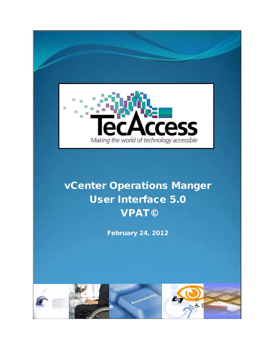

# vCenter Operations Manger User Interface 5.0 VPAT©

February 24, 2012

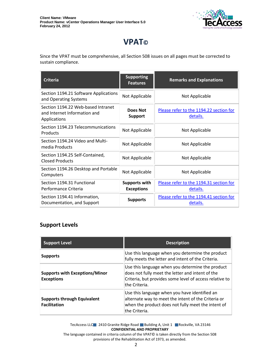

# **VPAT©**

Since the VPAT must be comprehensive, all Section 508 issues on all pages must be corrected to sustain compliance.

| <b>Criteria</b>                                                                    | <b>Supporting</b><br><b>Features</b>      | <b>Remarks and Explanations</b>                     |
|------------------------------------------------------------------------------------|-------------------------------------------|-----------------------------------------------------|
| Section 1194.21 Software Applications<br>and Operating Systems                     | Not Applicable                            | Not Applicable                                      |
| Section 1194.22 Web-based Intranet<br>and Internet Information and<br>Applications | Does Not<br><b>Support</b>                | Please refer to the 1194.22 section for<br>details. |
| Section 1194.23 Telecommunications<br>Products                                     | Not Applicable                            | Not Applicable                                      |
| Section 1194.24 Video and Multi-<br>media Products                                 | Not Applicable                            | Not Applicable                                      |
| Section 1194.25 Self-Contained,<br><b>Closed Products</b>                          | Not Applicable                            | Not Applicable                                      |
| Section 1194.26 Desktop and Portable<br>Computers                                  | Not Applicable                            | Not Applicable                                      |
| Section 1194.31 Functional<br>Performance Criteria                                 | <b>Supports with</b><br><b>Exceptions</b> | Please refer to the 1194.31 section for<br>details. |
| Section 1194.41 Information,<br>Documentation, and Support                         | <b>Supports</b>                           | Please refer to the 1194.41 section for<br>details. |

#### **Support Levels**

| <b>Support Level</b>                                       | <b>Description</b>                                                                                                                                                               |
|------------------------------------------------------------|----------------------------------------------------------------------------------------------------------------------------------------------------------------------------------|
| <b>Supports</b>                                            | Use this language when you determine the product<br>fully meets the letter and intent of the Criteria.                                                                           |
| <b>Supports with Exceptions/Minor</b><br><b>Exceptions</b> | Use this language when you determine the product<br>does not fully meet the letter and intent of the<br>Criteria, but provides some level of access relative to<br>the Criteria. |
| <b>Supports through Equivalent</b><br><b>Facilitation</b>  | Use this language when you have identified an<br>alternate way to meet the intent of the Criteria or<br>when the product does not fully meet the intent of<br>the Criteria.      |

TecAccess LLC 2410 Granite Ridge Road Building A, Unit 1 Rockville, VA 23146 **CONFIDENTIAL AND PROPRIETARY**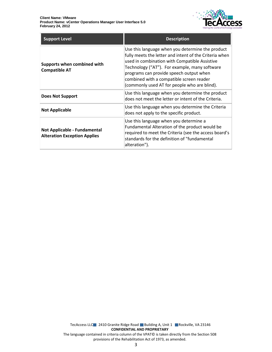

| <b>Support Level</b>                                                | <b>Description</b>                                                                                                                                                                                                                                                                                                                                  |
|---------------------------------------------------------------------|-----------------------------------------------------------------------------------------------------------------------------------------------------------------------------------------------------------------------------------------------------------------------------------------------------------------------------------------------------|
| Supports when combined with<br><b>Compatible AT</b>                 | Use this language when you determine the product<br>fully meets the letter and intent of the Criteria when<br>used in combination with Compatible Assistive<br>Technology ("AT"). For example, many software<br>programs can provide speech output when<br>combined with a compatible screen reader<br>(commonly used AT for people who are blind). |
| <b>Does Not Support</b>                                             | Use this language when you determine the product<br>does not meet the letter or intent of the Criteria.                                                                                                                                                                                                                                             |
| <b>Not Applicable</b>                                               | Use this language when you determine the Criteria<br>does not apply to the specific product.                                                                                                                                                                                                                                                        |
| Not Applicable - Fundamental<br><b>Alteration Exception Applies</b> | Use this language when you determine a<br>Fundamental Alteration of the product would be<br>required to meet the Criteria (see the access board's<br>standards for the definition of "fundamental<br>alteration").                                                                                                                                  |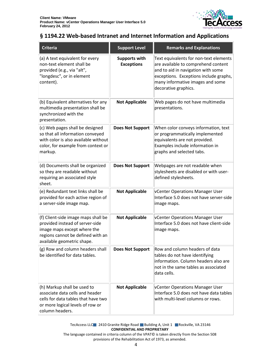

#### <span id="page-3-0"></span>**§ 1194.22 Web-based Intranet and Internet Information and Applications**

| <b>Criteria</b>                                                                                                                                                          | <b>Support Level</b>                      | <b>Remarks and Explanations</b>                                                                                                                                                                                           |
|--------------------------------------------------------------------------------------------------------------------------------------------------------------------------|-------------------------------------------|---------------------------------------------------------------------------------------------------------------------------------------------------------------------------------------------------------------------------|
| (a) A text equivalent for every<br>non-text element shall be<br>provided (e.g., via "alt",<br>"longdesc", or in element<br>content).                                     | <b>Supports with</b><br><b>Exceptions</b> | Text equivalents for non-text elements<br>are available to comprehend content<br>and to aid in navigation with some<br>exceptions. Exceptions include graphs,<br>many informative images and some<br>decorative graphics. |
| (b) Equivalent alternatives for any<br>multimedia presentation shall be<br>synchronized with the<br>presentation.                                                        | <b>Not Applicable</b>                     | Web pages do not have multimedia<br>presentations.                                                                                                                                                                        |
| (c) Web pages shall be designed<br>so that all information conveyed<br>with color is also available without<br>color, for example from context or<br>markup.             | <b>Does Not Support</b>                   | When color conveys information, text<br>or programmatically implemented<br>equivalents are not provided.<br>Examples include information in<br>graphs and selected tabs.                                                  |
| (d) Documents shall be organized<br>so they are readable without<br>requiring an associated style<br>sheet.                                                              | <b>Does Not Support</b>                   | Webpages are not readable when<br>stylesheets are disabled or with user-<br>defined stylesheets.                                                                                                                          |
| (e) Redundant text links shall be<br>provided for each active region of<br>a server-side image map.                                                                      | <b>Not Applicable</b>                     | vCenter Operations Manager User<br>Interface 5.0 does not have server-side<br>image maps.                                                                                                                                 |
| (f) Client-side image maps shall be<br>provided instead of server-side<br>image maps except where the<br>regions cannot be defined with an<br>available geometric shape. | <b>Not Applicable</b>                     | vCenter Operations Manager User<br>Interface 5.0 does not have client-side<br>image maps.                                                                                                                                 |
| (g) Row and column headers shall<br>be identified for data tables.                                                                                                       | <b>Does Not Support</b>                   | Row and column headers of data<br>tables do not have identifying<br>information. Column headers also are<br>not in the same tables as associated<br>data cells.                                                           |
| (h) Markup shall be used to<br>associate data cells and header<br>cells for data tables that have two<br>or more logical levels of row or<br>column headers.             | <b>Not Applicable</b>                     | <b>VCenter Operations Manager User</b><br>Interface 5.0 does not have data tables<br>with multi-level columns or rows.                                                                                                    |

TecAccess LLC 2410 Granite Ridge Road Building A, Unit 1 Rockville, VA 23146 **CONFIDENTIAL AND PROPRIETARY**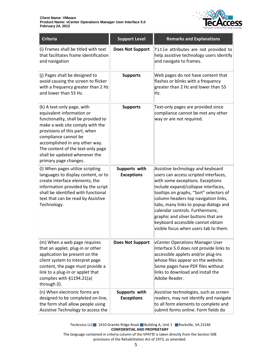

| <b>Criteria</b>                                                                                                                                                                                                                                                                                                             | <b>Support Level</b>               | <b>Remarks and Explanations</b>                                                                                                                                                                                                                                                                                                                                                                                                           |
|-----------------------------------------------------------------------------------------------------------------------------------------------------------------------------------------------------------------------------------------------------------------------------------------------------------------------------|------------------------------------|-------------------------------------------------------------------------------------------------------------------------------------------------------------------------------------------------------------------------------------------------------------------------------------------------------------------------------------------------------------------------------------------------------------------------------------------|
| (i) Frames shall be titled with text<br>that facilitates frame identification<br>and navigation                                                                                                                                                                                                                             | <b>Does Not Support</b>            | Title attributes are not provided to<br>help assistive technology users identify<br>and navigate to frames.                                                                                                                                                                                                                                                                                                                               |
| (j) Pages shall be designed to<br>avoid causing the screen to flicker<br>with a frequency greater than 2 Hz<br>and lower than 55 Hz.                                                                                                                                                                                        | <b>Supports</b>                    | Web pages do not have content that<br>flashes or blinks with a frequency<br>greater than 2 Hz and lower than 55<br>Hz.                                                                                                                                                                                                                                                                                                                    |
| (k) A text-only page, with<br>equivalent information or<br>functionality, shall be provided to<br>make a web site comply with the<br>provisions of this part, when<br>compliance cannot be<br>accomplished in any other way.<br>The content of the text-only page<br>shall be updated whenever the<br>primary page changes. | <b>Supports</b>                    | Text-only pages are provided since<br>compliance cannot be met any other<br>way or are not required.                                                                                                                                                                                                                                                                                                                                      |
| (I) When pages utilize scripting<br>languages to display content, or to<br>create interface elements, the<br>information provided by the script<br>shall be identified with functional<br>text that can be read by Assistive<br>Technology.                                                                                 | Supports with<br><b>Exceptions</b> | Assistive technology and keyboard<br>users can access scripted interfaces,<br>with some exceptions. Exceptions<br>include expand/collapse interfaces,<br>tooltips on graphs, "Sort" selectors of<br>column headers top navigation links,<br>tabs, many links to popup dialogs and<br>calendar controls. Furthermore,<br>graphic and silver buttons that are<br>keyboard accessible cannot obtain<br>visible focus when users tab to them. |
| (m) When a web page requires<br>that an applet, plug-in or other<br>application be present on the<br>client system to interpret page<br>content, the page must provide a<br>link to a plug-in or applet that<br>complies with §1194.21(a)<br>through (I).                                                                   | <b>Does Not Support</b>            | vCenter Operations Manager User<br>Interface 5.0 does not provide links to<br>accessible applets and/or plug-ins<br>whose files appear on the website.<br>Some pages have PDF files without<br>links to download and install the<br>Adobe Reader.                                                                                                                                                                                         |
| (n) When electronic forms are<br>designed to be completed on-line,<br>the form shall allow people using<br>Assistive Technology to access the                                                                                                                                                                               | Supports with<br><b>Exceptions</b> | Assistive technologies, such as screen<br>readers, may not identify and navigate<br>to all form elements to complete and<br>submit forms online. Form fields do                                                                                                                                                                                                                                                                           |

TecAccess LLC 2410 Granite Ridge Road Building A, Unit 1 Rockville, VA 23146 **CONFIDENTIAL AND PROPRIETARY**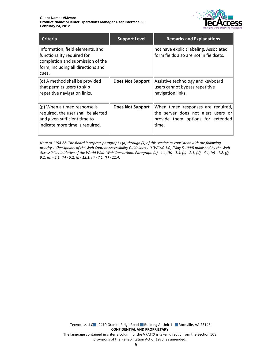

| <b>Criteria</b>                                                                                                                                   | <b>Support Level</b>    | <b>Remarks and Explanations</b>                                                                                         |
|---------------------------------------------------------------------------------------------------------------------------------------------------|-------------------------|-------------------------------------------------------------------------------------------------------------------------|
| information, field elements, and<br>functionality required for<br>completion and submission of the<br>form, including all directions and<br>cues. |                         | not have explicit labeling. Associated<br>form fields also are not in fieldsets.                                        |
| (o) A method shall be provided<br>that permits users to skip<br>repetitive navigation links.                                                      | <b>Does Not Support</b> | Assistive technology and keyboard<br>users cannot bypass repetitive<br>navigation links.                                |
| (p) When a timed response is<br>required, the user shall be alerted<br>and given sufficient time to<br>indicate more time is required.            | <b>Does Not Support</b> | When timed responses are required,<br>the server does not alert users or<br>provide them options for extended<br>ltime. |

*Note to 1194.22: The Board interprets paragraphs (a) through (k) of this section as consistent with the following priority 1 Checkpoints of the Web Content Accessibility Guidelines 1.0 (WCAG 1.0) (May 5 1999) published by the Web Accessibility Initiative of the World Wide Web Consortium: Paragraph (a) - 1.1, (b) - 1.4, (c) - 2.1, (d) - 6.1, (e) - 1.2, (f) - 9.1, (g) - 5.1, (h) - 5.2, (i) - 12.1, (j) - 7.1, (k) - 11.4.*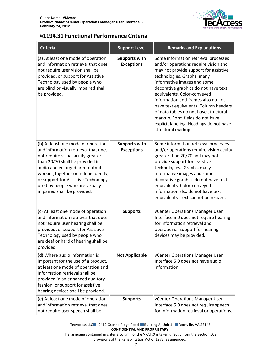

### <span id="page-6-0"></span>**§1194.31 Functional Performance Criteria**

| <b>Criteria</b>                                                                                                                                                                                                                                                                                                                     | <b>Support Level</b>                      | <b>Remarks and Explanations</b>                                                                                                                                                                                                                                                                                                                                                                                                                                                       |
|-------------------------------------------------------------------------------------------------------------------------------------------------------------------------------------------------------------------------------------------------------------------------------------------------------------------------------------|-------------------------------------------|---------------------------------------------------------------------------------------------------------------------------------------------------------------------------------------------------------------------------------------------------------------------------------------------------------------------------------------------------------------------------------------------------------------------------------------------------------------------------------------|
| (a) At least one mode of operation<br>and information retrieval that does<br>not require user vision shall be<br>provided, or support for Assistive<br>Technology used by people who<br>are blind or visually impaired shall<br>be provided.                                                                                        | <b>Supports with</b><br><b>Exceptions</b> | Some information retrieval processes<br>and/or operations require vision and<br>may not provide support for assistive<br>technologies. Graphs, many<br>informative images and some<br>decorative graphics do not have text<br>equivalents. Color-conveyed<br>information and frames also do not<br>have text equivalents. Column headers<br>of data tables do not have structural<br>markup. Form fields do not have<br>explicit labeling. Headings do not have<br>structural markup. |
| (b) At least one mode of operation<br>and information retrieval that does<br>not require visual acuity greater<br>than 20/70 shall be provided in<br>audio and enlarged print output<br>working together or independently,<br>or support for Assistive Technology<br>used by people who are visually<br>impaired shall be provided. | <b>Supports with</b><br><b>Exceptions</b> | Some information retrieval processes<br>and/or operations require vision acuity<br>greater than 20/70 and may not<br>provide support for assistive<br>technologies. Graphs, many<br>informative images and some<br>decorative graphics do not have text<br>equivalents. Color-conveyed<br>information also do not have text<br>equivalents. Text cannot be resized.                                                                                                                   |
| (c) At least one mode of operation<br>and information retrieval that does<br>not require user hearing shall be<br>provided, or support for Assistive<br>Technology used by people who<br>are deaf or hard of hearing shall be<br>provided                                                                                           | <b>Supports</b>                           | vCenter Operations Manager User<br>Interface 5.0 does not require hearing<br>for information retrieval and<br>operations. Support for hearing<br>devices may be provided.                                                                                                                                                                                                                                                                                                             |
| (d) Where audio information is<br>important for the use of a product,<br>at least one mode of operation and<br>information retrieval shall be<br>provided in an enhanced auditory<br>fashion, or support for assistive<br>hearing devices shall be provided.                                                                        | <b>Not Applicable</b>                     | vCenter Operations Manager User<br>Interface 5.0 does not have audio<br>information.                                                                                                                                                                                                                                                                                                                                                                                                  |
| (e) At least one mode of operation<br>and information retrieval that does<br>not require user speech shall be                                                                                                                                                                                                                       | <b>Supports</b>                           | vCenter Operations Manager User<br>Interface 5.0 does not require speech<br>for information retrieval or operations.                                                                                                                                                                                                                                                                                                                                                                  |

TecAccess LLC 2410 Granite Ridge Road Building A, Unit 1 Rockville, VA 23146 **CONFIDENTIAL AND PROPRIETARY**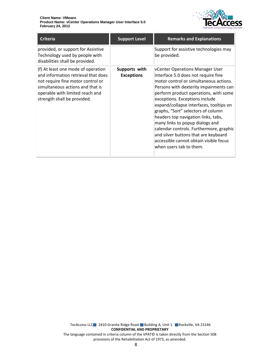

| <b>Criteria</b>                                                                                                                                                                                                      | <b>Support Level</b>               | <b>Remarks and Explanations</b>                                                                                                                                                                                                                                                                                                                                                                                                                                                                                                                          |
|----------------------------------------------------------------------------------------------------------------------------------------------------------------------------------------------------------------------|------------------------------------|----------------------------------------------------------------------------------------------------------------------------------------------------------------------------------------------------------------------------------------------------------------------------------------------------------------------------------------------------------------------------------------------------------------------------------------------------------------------------------------------------------------------------------------------------------|
| provided, or support for Assistive<br>Technology used by people with<br>disabilities shall be provided.                                                                                                              |                                    | Support for assistive technologies may<br>be provided.                                                                                                                                                                                                                                                                                                                                                                                                                                                                                                   |
| (f) At least one mode of operation<br>and information retrieval that does<br>not require fine motor control or<br>simultaneous actions and that is<br>operable with limited reach and<br>strength shall be provided. | Supports with<br><b>Exceptions</b> | vCenter Operations Manager User<br>Interface 5.0 does not require fine<br>motor control or simultaneous actions.<br>Persons with dexterity impairments can<br>perform product operations, with some<br>exceptions. Exceptions include<br>expand/collapse interfaces, tooltips on<br>graphs, "Sort" selectors of column<br>headers top navigation links, tabs,<br>many links to popup dialogs and<br>calendar controls. Furthermore, graphic<br>and silver buttons that are keyboard<br>accessible cannot obtain visible focus<br>when users tab to them. |

TecAccess LLC 2410 Granite Ridge Road Building A, Unit 1 Rockville, VA 23146 **CONFIDENTIAL AND PROPRIETARY** The language contained in criteria column of the VPAT© is taken directly from the Section 508 provisions of the Rehabilitation Act of 1973, as amended.